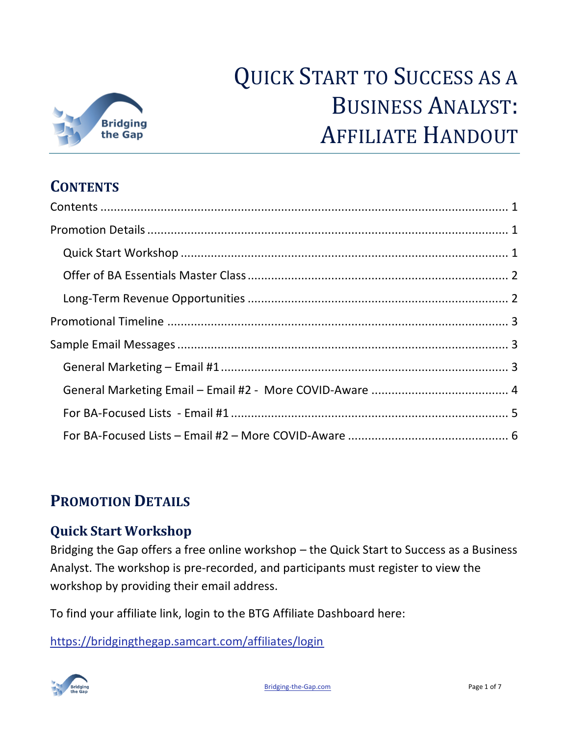

# QUICK START TO SUCCESS AS A BUSINESS ANALYST: AFFILIATE HANDOUT

# <span id="page-0-0"></span>**CONTENTS**

# <span id="page-0-1"></span>**PROMOTION DETAILS**

## <span id="page-0-2"></span>**Quick Start Workshop**

Bridging the Gap offers a free online workshop – the Quick Start to Success as a Business Analyst. The workshop is pre-recorded, and participants must register to view the workshop by providing their email address.

To find your affiliate link, login to the BTG Affiliate Dashboard here:

<https://bridgingthegap.samcart.com/affiliates/login>

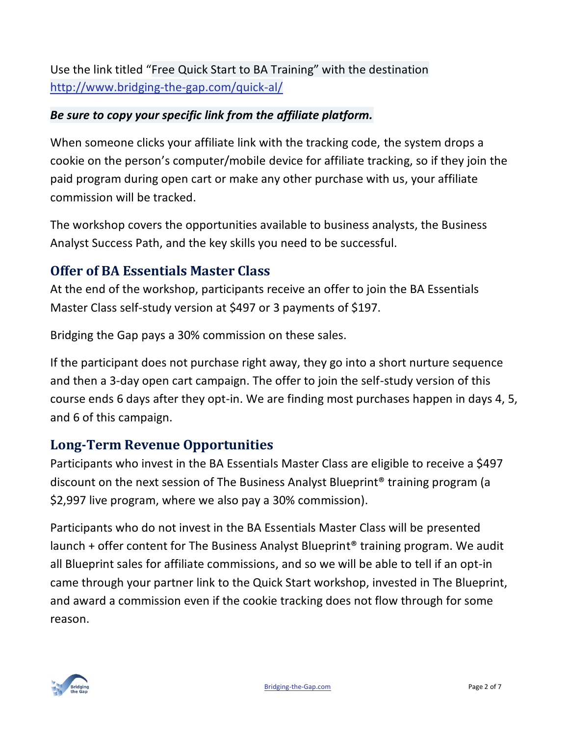Use the link titled "Free Quick Start to BA Training" with the destination <http://www.bridging-the-gap.com/quick-al/>

#### *Be sure to copy your specific link from the affiliate platform.*

When someone clicks your affiliate link with the tracking code, the system drops a cookie on the person's computer/mobile device for affiliate tracking, so if they join the paid program during open cart or make any other purchase with us, your affiliate commission will be tracked.

The workshop covers the opportunities available to business analysts, the Business Analyst Success Path, and the key skills you need to be successful.

## <span id="page-1-0"></span>**Offer of BA Essentials Master Class**

At the end of the workshop, participants receive an offer to join the BA Essentials Master Class self-study version at \$497 or 3 payments of \$197.

Bridging the Gap pays a 30% commission on these sales.

If the participant does not purchase right away, they go into a short nurture sequence and then a 3-day open cart campaign. The offer to join the self-study version of this course ends 6 days after they opt-in. We are finding most purchases happen in days 4, 5, and 6 of this campaign.

## <span id="page-1-1"></span>**Long-Term Revenue Opportunities**

Participants who invest in the BA Essentials Master Class are eligible to receive a \$497 discount on the next session of The Business Analyst Blueprint® training program (a \$2,997 live program, where we also pay a 30% commission).

Participants who do not invest in the BA Essentials Master Class will be presented launch + offer content for The Business Analyst Blueprint® training program. We audit all Blueprint sales for affiliate commissions, and so we will be able to tell if an opt-in came through your partner link to the Quick Start workshop, invested in The Blueprint, and award a commission even if the cookie tracking does not flow through for some reason.

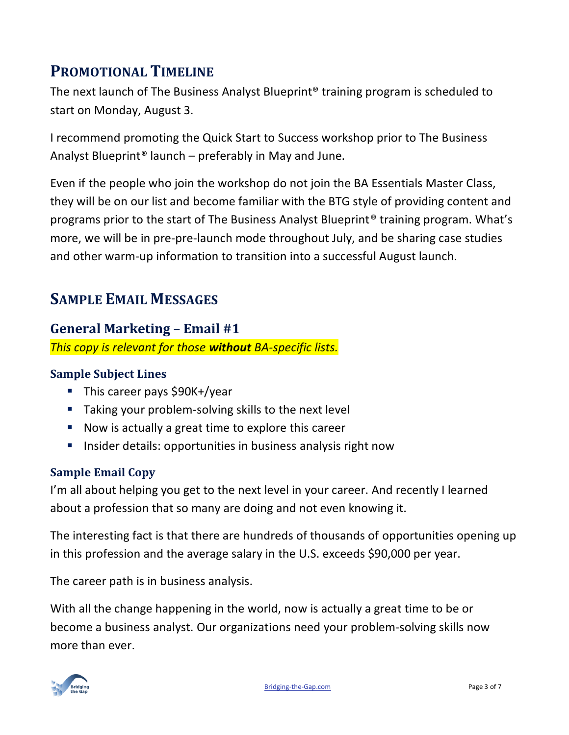# <span id="page-2-0"></span>**PROMOTIONAL TIMELINE**

The next launch of The Business Analyst Blueprint® training program is scheduled to start on Monday, August 3.

I recommend promoting the Quick Start to Success workshop prior to The Business Analyst Blueprint® launch – preferably in May and June.

Even if the people who join the workshop do not join the BA Essentials Master Class, they will be on our list and become familiar with the BTG style of providing content and programs prior to the start of The Business Analyst Blueprint® training program. What's more, we will be in pre-pre-launch mode throughout July, and be sharing case studies and other warm-up information to transition into a successful August launch.

# <span id="page-2-1"></span>**SAMPLE EMAIL MESSAGES**

## <span id="page-2-2"></span>**General Marketing – Email #1**

*This copy is relevant for those without BA-specific lists.* 

## **Sample Subject Lines**

- This career pays \$90K+/year
- Taking your problem-solving skills to the next level
- Now is actually a great time to explore this career
- **EXTER** Insider details: opportunities in business analysis right now

## **Sample Email Copy**

I'm all about helping you get to the next level in your career. And recently I learned about a profession that so many are doing and not even knowing it.

The interesting fact is that there are hundreds of thousands of opportunities opening up in this profession and the average salary in the U.S. exceeds \$90,000 per year.

The career path is in business analysis.

With all the change happening in the world, now is actually a great time to be or become a business analyst. Our organizations need your problem-solving skills now more than ever.

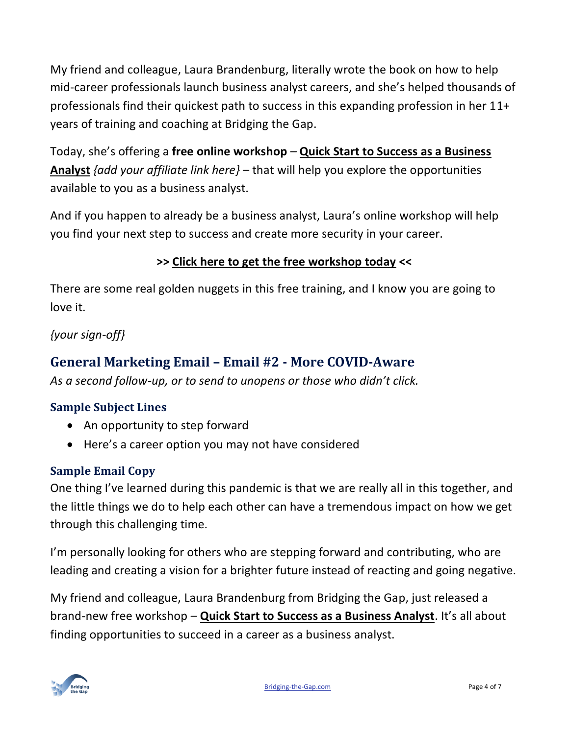My friend and colleague, Laura Brandenburg, literally wrote the book on how to help mid-career professionals launch business analyst careers, and she's helped thousands of professionals find their quickest path to success in this expanding profession in her 11+ years of training and coaching at Bridging the Gap.

Today, she's offering a **free online workshop** *–* **Quick Start to Success as a Business Analyst** *{add your affiliate link here}* – that will help you explore the opportunities available to you as a business analyst.

And if you happen to already be a business analyst, Laura's online workshop will help you find your next step to success and create more security in your career.

## **>> Click here to get the free workshop today <<**

There are some real golden nuggets in this free training, and I know you are going to love it.

## *{your sign-off}*

## <span id="page-3-0"></span>**General Marketing Email – Email #2 - More COVID-Aware**

*As a second follow-up, or to send to unopens or those who didn't click.*

#### **Sample Subject Lines**

- An opportunity to step forward
- Here's a career option you may not have considered

## **Sample Email Copy**

One thing I've learned during this pandemic is that we are really all in this together, and the little things we do to help each other can have a tremendous impact on how we get through this challenging time.

I'm personally looking for others who are stepping forward and contributing, who are leading and creating a vision for a brighter future instead of reacting and going negative.

My friend and colleague, Laura Brandenburg from Bridging the Gap, just released a brand-new free workshop – **Quick Start to Success as a Business Analyst**. It's all about finding opportunities to succeed in a career as a business analyst.

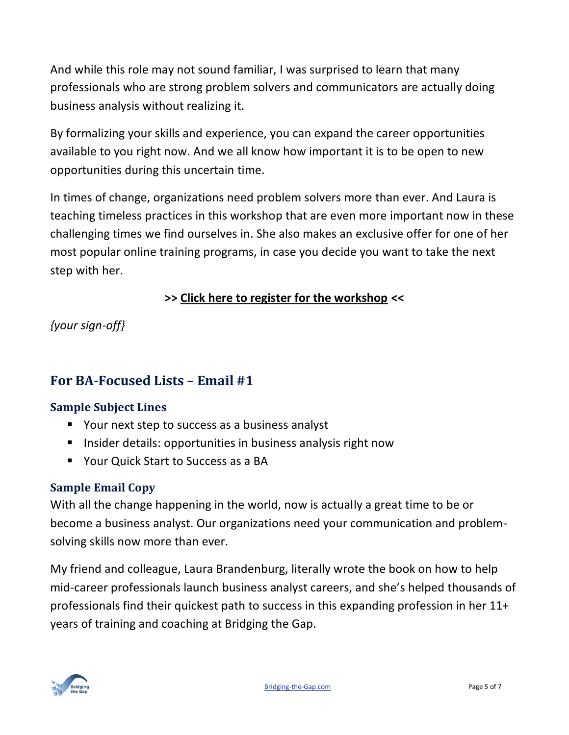And while this role may not sound familiar, I was surprised to learn that many professionals who are strong problem solvers and communicators are actually doing business analysis without realizing it.

By formalizing your skills and experience, you can expand the career opportunities available to you right now. And we all know how important it is to be open to new opportunities during this uncertain time.

In times of change, organizations need problem solvers more than ever. And Laura is teaching timeless practices in this workshop that are even more important now in these challenging times we find ourselves in. She also makes an exclusive offer for one of her most popular online training programs, in case you decide you want to take the next step with her.

## **>> Click here to register for the workshop <<**

*{your sign-off}*

## <span id="page-4-0"></span>**For BA-Focused Lists – Email #1**

#### **Sample Subject Lines**

- Your next step to success as a business analyst
- Insider details: opportunities in business analysis right now
- Your Quick Start to Success as a BA

#### **Sample Email Copy**

With all the change happening in the world, now is actually a great time to be or become a business analyst. Our organizations need your communication and problemsolving skills now more than ever.

My friend and colleague, Laura Brandenburg, literally wrote the book on how to help mid-career professionals launch business analyst careers, and she's helped thousands of professionals find their quickest path to success in this expanding profession in her 11+ years of training and coaching at Bridging the Gap.

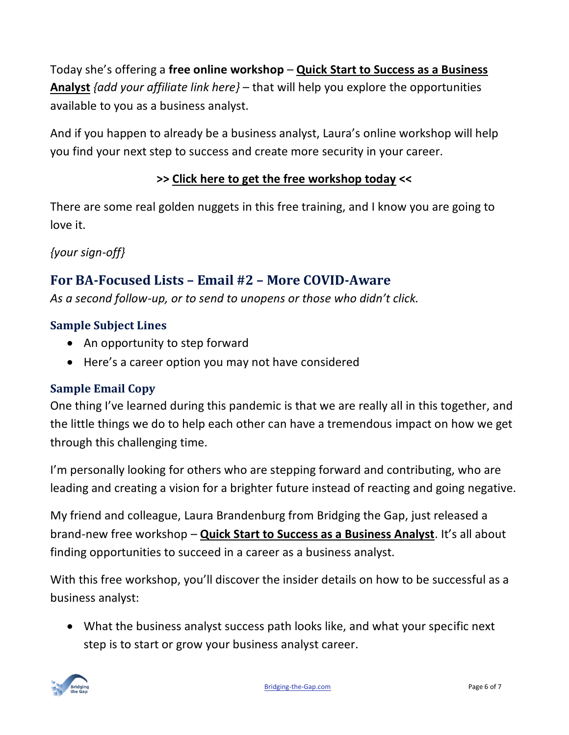Today she's offering a **free online workshop** *–* **Quick Start to Success as a Business Analyst** *{add your affiliate link here}* – that will help you explore the opportunities available to you as a business analyst.

And if you happen to already be a business analyst, Laura's online workshop will help you find your next step to success and create more security in your career.

## **>> Click here to get the free workshop today <<**

There are some real golden nuggets in this free training, and I know you are going to love it.

*{your sign-off}*

## <span id="page-5-0"></span>**For BA-Focused Lists – Email #2 – More COVID-Aware**

*As a second follow-up, or to send to unopens or those who didn't click.*

#### **Sample Subject Lines**

- An opportunity to step forward
- Here's a career option you may not have considered

#### **Sample Email Copy**

One thing I've learned during this pandemic is that we are really all in this together, and the little things we do to help each other can have a tremendous impact on how we get through this challenging time.

I'm personally looking for others who are stepping forward and contributing, who are leading and creating a vision for a brighter future instead of reacting and going negative.

My friend and colleague, Laura Brandenburg from Bridging the Gap, just released a brand-new free workshop – **Quick Start to Success as a Business Analyst**. It's all about finding opportunities to succeed in a career as a business analyst.

With this free workshop, you'll discover the insider details on how to be successful as a business analyst:

• What the business analyst success path looks like, and what your specific next step is to start or grow your business analyst career.